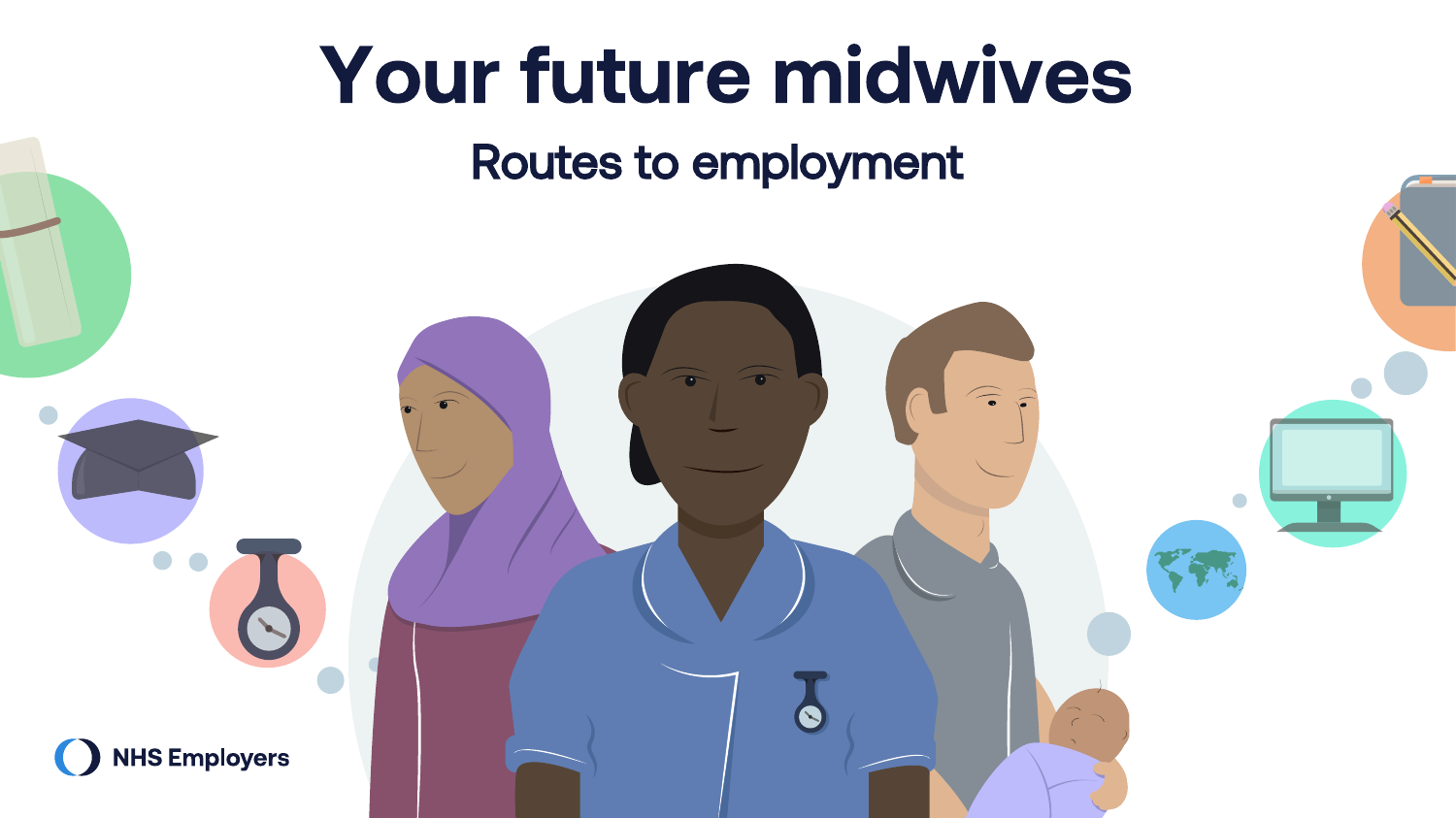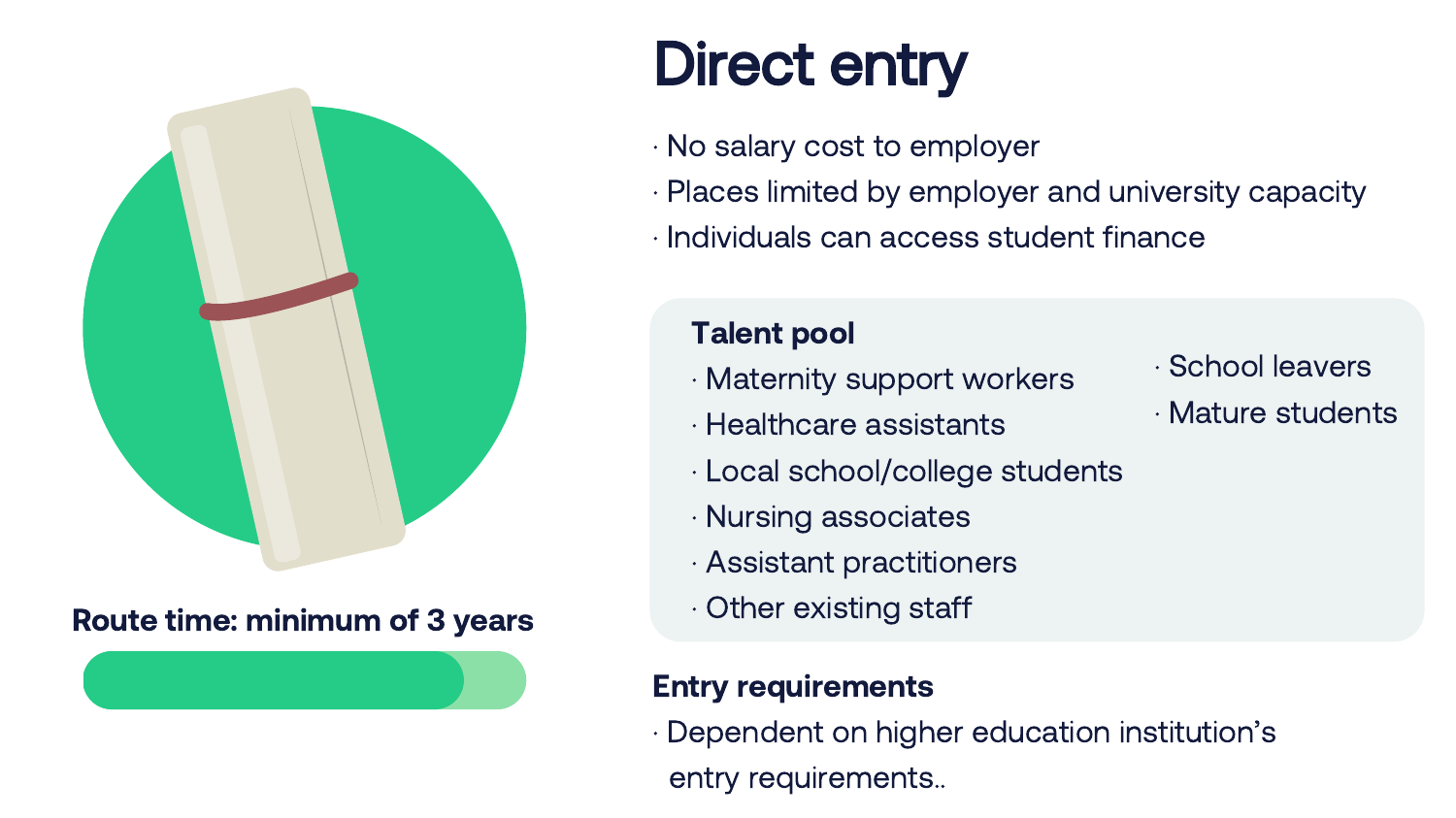

### Route time: minimum of 3 years

# Direct entry

- · No salary cost to employer
- · Places limited by employer and university capacity
- · Individuals can access student finance

### Talent pool

- · Maternity support workers
- · Healthcare assistants
- · Local school/college students
- · Nursing associates
- · Assistant practitioners
- · Other existing staff

### Entry requirements

· Dependent on higher education institution's entry requirements..

- · School leavers
- · Mature students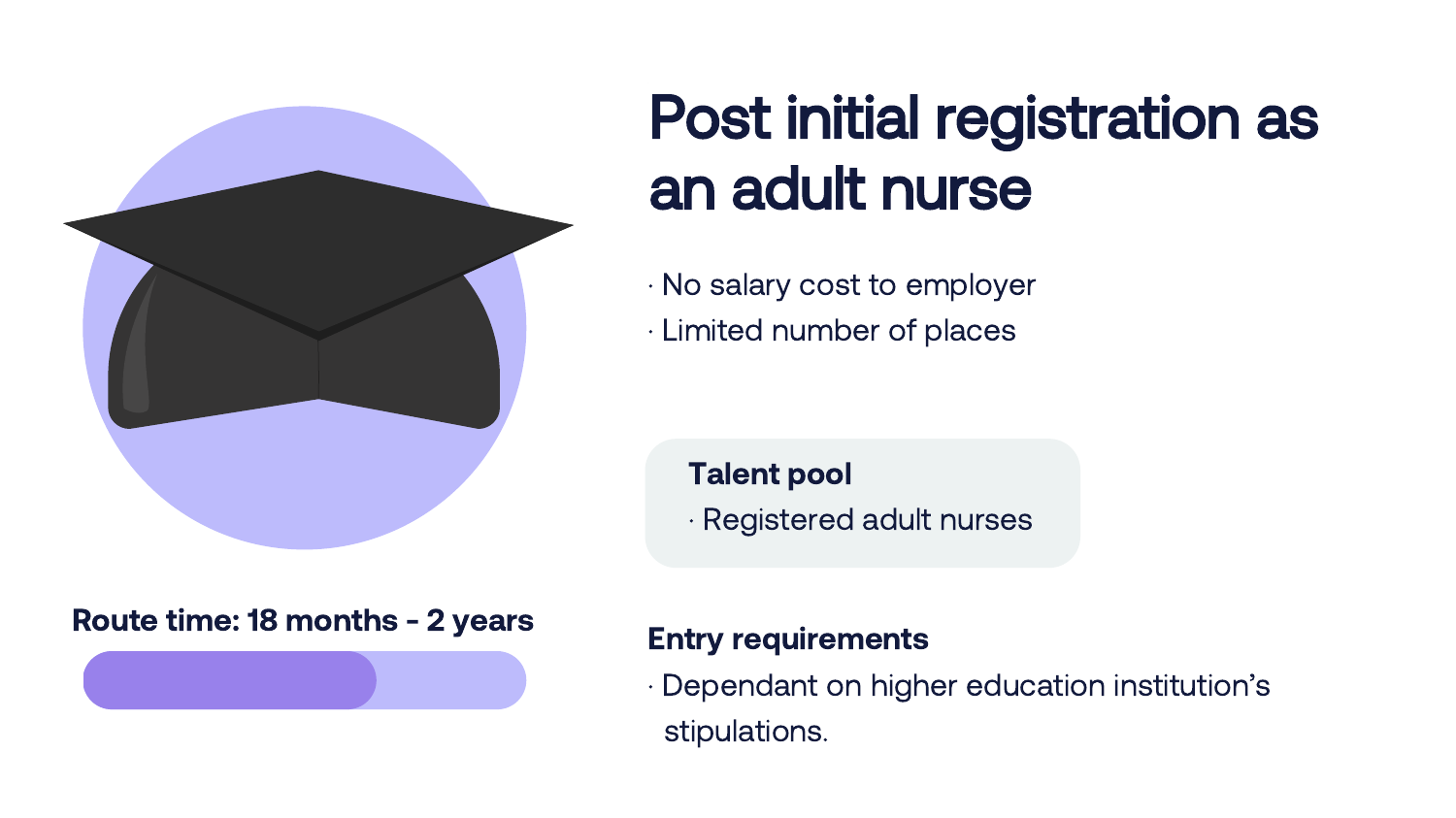

# Post initial registration as an adult nurse

- · No salary cost to employer
- · Limited number of places

### Talent pool

· Registered adult nurses

### Route time: 18 months - 2 years

### Entry requirements

· Dependant on higher education institution's stipulations.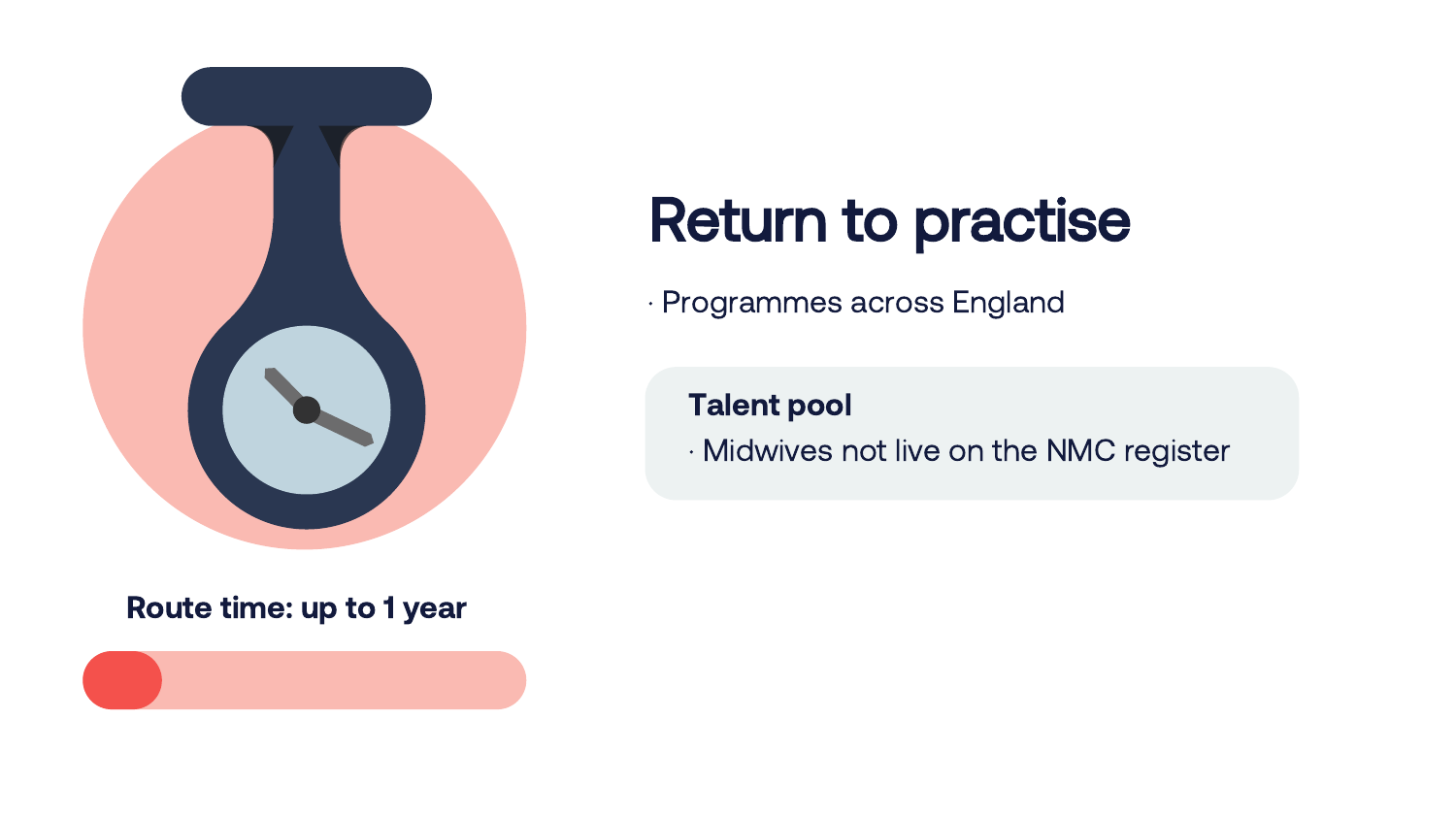

#### Route time: up to 1 year



# Return to practise

· Programmes across England

### Talent pool

· Midwives not live on the NMC register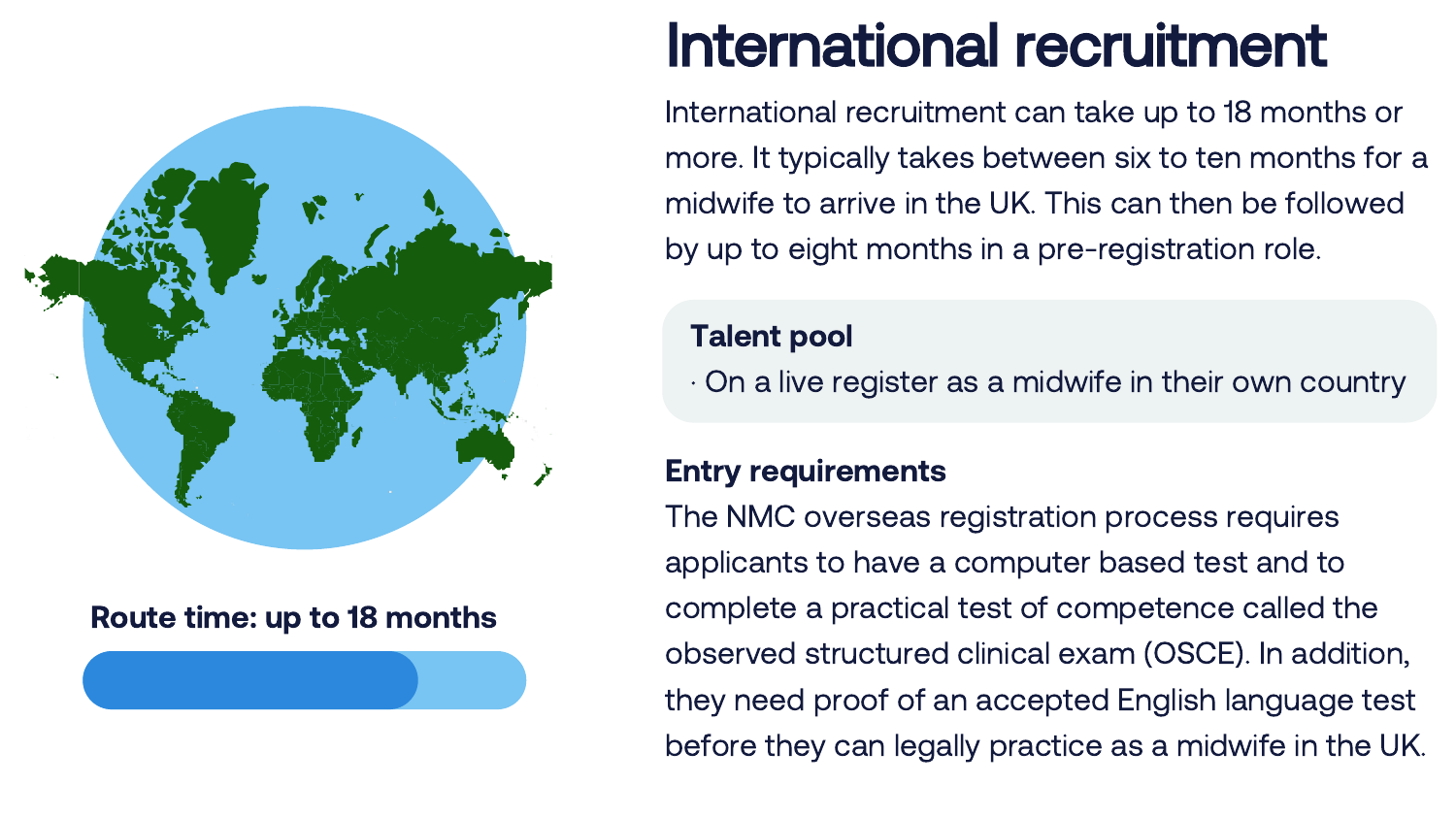

#### Route time: up to 18 months

## International recruitment

International recruitment can take up to 18 months or more. It typically takes between six to ten months for a midwife to arrive in the UK. This can then be followed by up to eight months in a pre-registration role.

### Talent pool

· On a live register as a midwife in their own country

### Entry requirements

The NMC overseas registration process requires applicants to have a computer based test and to complete a practical test of competence called the observed structured clinical exam (OSCE). In addition, they need proof of an accepted English language test before they can legally practice as a midwife in the UK.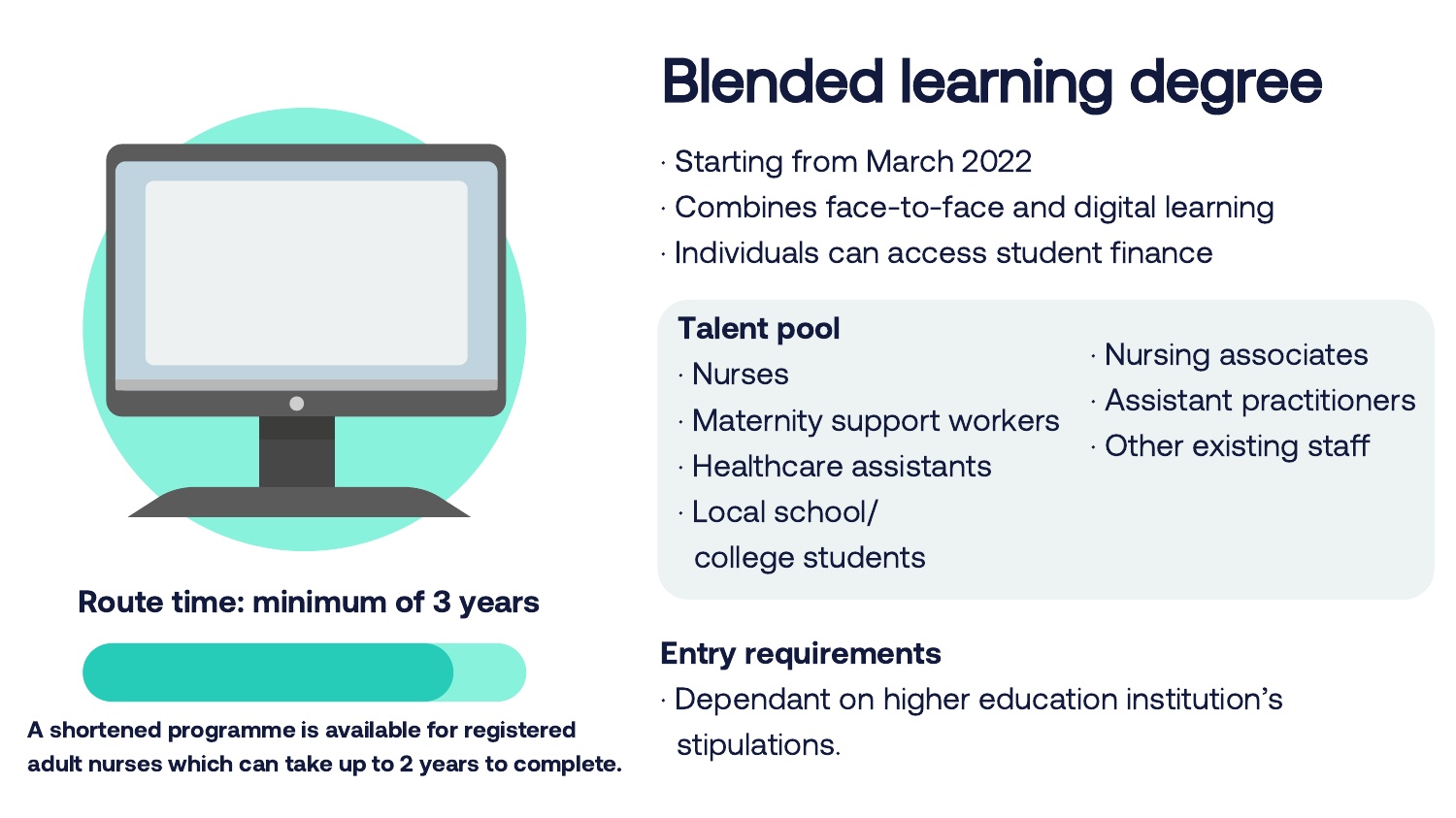

#### Route time: minimum of 3 years

A shortened programme is available for registered adult nurses which can take up to 2 years to complete.

# Blended learning degree

- · Starting from March 2022
- · Combines face-to-face and digital learning
- · Individuals can access student finance

### Talent pool

- · Nurses
- · Maternity support workers
- · Healthcare assistants
- · Local school/
	- college students

### Entry requirements

· Dependant on higher education institution's stipulations.

- · Nursing associates
- · Assistant practitioners
- · Other existing staff